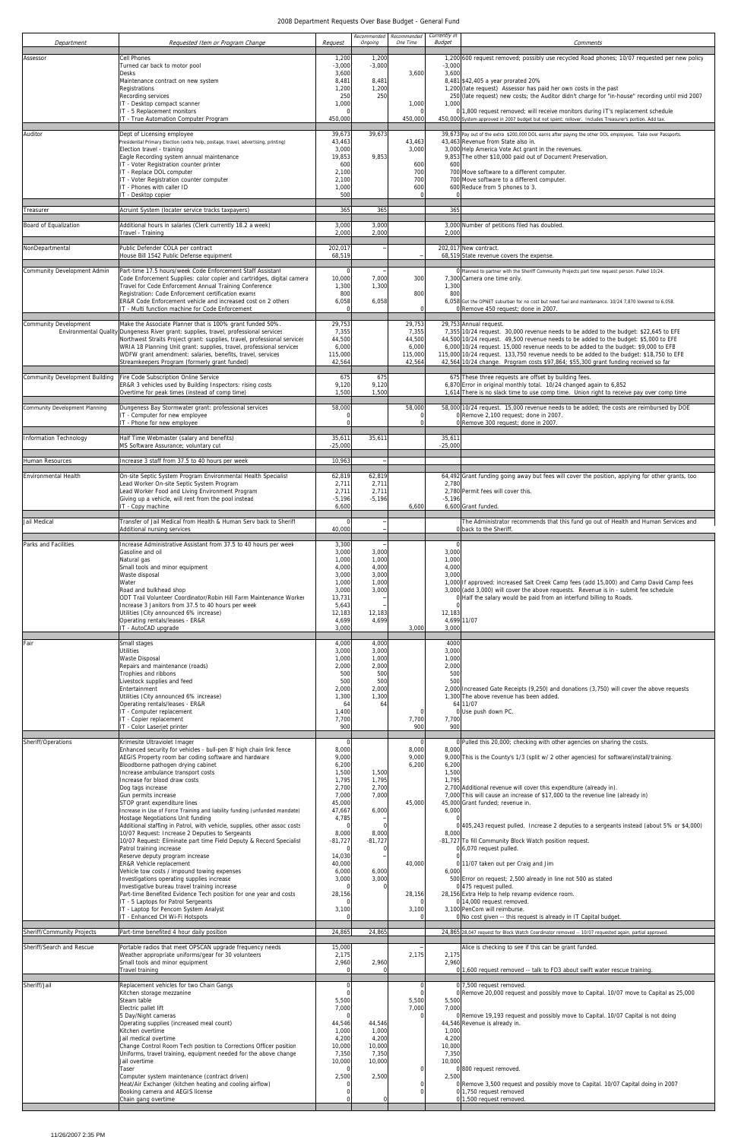| Department                                              | Requested Item or Program Change                                                                                                                                                                                              | Request                   | Recommended<br>Ongoing   | Recommended<br>One Time   | Currently in<br><b>Budget</b> | Comments                                                                                                                                                                                               |
|---------------------------------------------------------|-------------------------------------------------------------------------------------------------------------------------------------------------------------------------------------------------------------------------------|---------------------------|--------------------------|---------------------------|-------------------------------|--------------------------------------------------------------------------------------------------------------------------------------------------------------------------------------------------------|
| Assessor                                                | Cell Phones<br>Turned car back to motor pool                                                                                                                                                                                  | 1,200<br>$-3,000$         | 1,200<br>$-3,000$        |                           | $-3,000$                      | 1,200 600 request removed; possibly use recycled Road phones; 10/07 requested per new policy                                                                                                           |
|                                                         | <b>Desks</b><br>Maintenance contract on new system                                                                                                                                                                            | 3,600<br>8,481            | 8,481                    | 3,600                     | 3,600                         | 8,481 \$42,405 a year prorated 20%                                                                                                                                                                     |
|                                                         | Registrations<br>Recording services                                                                                                                                                                                           | 1,200<br>250              | 1,200<br>250             |                           |                               | 1,200 (late request) Assessor has paid her own costs in the past<br>250 (late request) new costs; the Auditor didn't charge for "in-house" recording until mid 2007                                    |
|                                                         | IT - Desktop compact scanner<br>IT - 5 Replacement monitors<br>IT - True Automation Computer Program                                                                                                                          | 1,000<br>450,000          |                          | 1,000<br>450,000          | 1,000                         | 0 1,800 request removed; will receive monitors during IT's replacement schedule<br>450,000 System approved in 2007 budget but not spent; rollover. Includes Treasurer's portion. Add tax.              |
| Auditor                                                 | Dept of Licensing employee                                                                                                                                                                                                    | 39,673                    | 39,673                   |                           |                               | 39,673 Pay out of the extra \$200,000 DOL earns after paying the other DOL employees. Take over Passports.                                                                                             |
|                                                         | Presidential Primary Election (extra help, postage, travel, advertising, printing)<br>Election travel - training                                                                                                              | 43,463<br>3,000           |                          | 43,463<br>3,000           |                               | 43,463 Revenue from State also in.<br>3,000 Help America Vote Act grant in the revenues.                                                                                                               |
|                                                         | Eagle Recording system annual maintenance<br>IT - Voter Registration counter printer                                                                                                                                          | 19,853<br>600             | 9,853                    | 600<br>700                | 600                           | 9,853 The other \$10,000 paid out of Document Preservation.                                                                                                                                            |
|                                                         | IT - Replace DOL computer<br>IT - Voter Registration counter computer<br>IT - Phones with caller ID                                                                                                                           | 2,100<br>2,100<br>1,000   |                          | 700<br>600                |                               | 700 Move software to a different computer.<br>700 Move software to a different computer.<br>600 Reduce from 5 phones to 3.                                                                             |
|                                                         | IT - Desktop copier                                                                                                                                                                                                           | 500                       |                          |                           |                               |                                                                                                                                                                                                        |
| Treasurer                                               | Acruint System (locater service tracks taxpayers)                                                                                                                                                                             | 365                       | 365                      |                           | 365                           |                                                                                                                                                                                                        |
| Board of Equalization                                   | Additional hours in salaries (Clerk currently 18.2 a week)<br>Travel - Training                                                                                                                                               | 3,000<br>2,000            | 3,000<br>2,000           |                           | 2,000                         | 3,000 Number of petitions filed has doubled.                                                                                                                                                           |
| NonDepartmental                                         | Public Defender COLA per contract<br>House Bill 1542 Public Defense equipment                                                                                                                                                 | 202,017<br>68,519         |                          |                           |                               | 202,017 New contract.<br>68,519 State revenue covers the expense.                                                                                                                                      |
| Community Development Admin                             | Part-time 17.5 hours/week Code Enforcement Staff Assistant<br>Code Enforcement Supplies: color copier and cartridges, digital camera<br>Travel for Code Enforcement Annual Training Conference                                | 10,000<br>1,300           | 7,000<br>1,300           | 300                       | 1,300                         | O Planned to partner with the Sheriff Community Projects part time request person. Pulled 10/24.<br>7,300 Camera one time only.                                                                        |
|                                                         | Registration: Code Enforcement certification exams<br>ER&R Code Enforcement vehicle and increased cost on 2 others                                                                                                            | 800<br>6,058              | 6,058                    | 800                       | 800                           | 6,058 Got the OPNET suburban for no cost but need fuel and maintenance. 10/24 7,870 lowered to 6,058.                                                                                                  |
|                                                         | IT - Multi function machine for Code Enforcement                                                                                                                                                                              |                           |                          | $\sqrt{ }$                |                               | 0 Remove 450 request; done in 2007.                                                                                                                                                                    |
| <b>Community Development</b>                            | Make the Associate Planner that is 100% grant funded 50%.<br>Environmental Quality Dungeness River grant: supplies, travel, professional services<br>Northwest Straits Project grant: supplies, travel, professional services | 29,753<br>7,355<br>44,500 |                          | 29,753<br>7,355<br>44,500 |                               | 29,753 Annual request.<br>7,355 10/24 request. 30,000 revenue needs to be added to the budget: \$22,645 to EFE<br>44,500 10/24 request. 49,500 revenue needs to be added to the budget: \$5,000 to EFE |
|                                                         | WRIA 18 Planning Unit grant: supplies, travel, professional services<br>WDFW grant amendment: salaries, benefits, travel, services                                                                                            | 6,000<br>115,000          |                          | 6,000<br>115,000          |                               | 6,000 10/24 request. 15,000 revenue needs to be added to the budget: \$9,000 to EFE<br>115,000 10/24 request. 133,750 revenue needs to be added to the budget: \$18,750 to EFE                         |
| Community Development Building                          | Streamkeepers Program (formerly grant funded)<br>Fire Code Subscription Online Service                                                                                                                                        | 42,564<br>675             | 675                      | 42,564                    |                               | 42,564 10/24 change. Program costs \$97,864; \$55,300 grant funding received so far<br>675 These three requests are offset by building fees.                                                           |
|                                                         | ER&R 3 vehicles used by Building Inspectors: rising costs<br>Overtime for peak times (instead of comp time)                                                                                                                   | 9,120<br>1,500            | 9,120<br>1,500           |                           |                               | 6,870 Error in original monthly total. 10/24 changed again to 6,852<br>1,614 There is no slack time to use comp time. Union right to receive pay over comp time                                        |
| Community Development Planning                          | Dungeness Bay Stormwater grant: professional services<br>IT - Computer for new employee<br>IT - Phone for new employee                                                                                                        | 58,000                    |                          | 58,000                    |                               | 58,000 10/24 request. 15,000 revenue needs to be added; the costs are reimbursed by DOE<br>0 Remove 2,100 request; done in 2007.<br>0 Remove 300 request; done in 2007                                 |
| Information Technology                                  | Half Time Webmaster (salary and benefits)<br>MS Software Assurance; voluntary cut                                                                                                                                             | 35,611<br>$-25,000$       | 35,611                   |                           | 35,611<br>$-25,000$           |                                                                                                                                                                                                        |
| Human Resources                                         | Increase 3 staff from 37.5 to 40 hours per week                                                                                                                                                                               | 10,963                    |                          |                           |                               |                                                                                                                                                                                                        |
| Environmental Health                                    | On-site Septic System Program Environmental Health Specialist<br>Lead Worker On-site Septic System Program                                                                                                                    | 62,819<br>2,711           | 62,819<br>2,711          |                           | 2,780                         | 64,492 Grant funding going away but fees will cover the position, applying for other grants, too                                                                                                       |
|                                                         | Lead Worker Food and Living Environment Program<br>Giving up a vehicle, will rent from the pool instead                                                                                                                       | 2,711<br>$-5,196$         | 2,711<br>$-5,196$        |                           | $-5,196$                      | 2,780 Permit fees will cover this.                                                                                                                                                                     |
| Jail Medical                                            | IT - Copy machine<br>Transfer of Jail Medical from Health & Human Serv back to Sheriff                                                                                                                                        | 6,600                     |                          | 6,600                     |                               | 6,600 Grant funded.<br>The Administrator recommends that this fund go out of Health and Human Services and                                                                                             |
|                                                         | Additional nursing services                                                                                                                                                                                                   | 40,000                    |                          |                           |                               | 0 back to the Sheriff.                                                                                                                                                                                 |
| Parks and Facilities                                    | Increase Administrative Assistant from 37.5 to 40 hours per week<br>Gasoline and oil                                                                                                                                          | 3,300<br>3,000            | 3,000                    |                           | 3,000                         |                                                                                                                                                                                                        |
|                                                         | Natural gas<br>Small tools and minor equipment<br>Waste disposal                                                                                                                                                              | 1,000<br>4,000<br>3,000   | 1,000<br>4,000<br>3,000  |                           | 1,000<br>4,000<br>3,000       |                                                                                                                                                                                                        |
|                                                         | Water<br>Road and bulkhead shop                                                                                                                                                                                               | 1,000<br>3,000            | 1,000<br>3,000           |                           |                               | 1,000 If approved: increased Salt Creek Camp fees (add 15,000) and Camp David Camp fees<br>3,000 (add 3,000) will cover the above requests. Revenue is in - submit fee schedule.                       |
|                                                         | ODT Trail Volunteer Coordinator/Robin Hill Farm Maintenance Worker<br>Increase 3 Janitors from 37.5 to 40 hours per week                                                                                                      | 13,731<br>5,643           |                          |                           |                               | 0 Half the salary would be paid from an interfund billing to Roads.                                                                                                                                    |
|                                                         | Utilities (City announced 6% increase)<br>Operating rentals/leases - ER&R<br>IT - AutoCAD upgrade                                                                                                                             | 12,183<br>4,699<br>3,000  | 12,183<br>4,699          | 3,000                     | 12,183<br>3,000               | 4,699 11/07                                                                                                                                                                                            |
| Fair                                                    | Small stages                                                                                                                                                                                                                  | 4,000                     | 4,000                    |                           | 4000                          |                                                                                                                                                                                                        |
|                                                         | <b>Utilities</b><br>Waste Disposal<br>Repairs and maintenance (roads)                                                                                                                                                         | 3,000<br>1,000<br>2,000   | 3,000<br>1,000<br>2,000  |                           | 3,000<br>1,000<br>2,000       |                                                                                                                                                                                                        |
|                                                         | Trophies and ribbons<br>Livestock supplies and feed                                                                                                                                                                           | 500<br>500                | 500<br>500               |                           | 500<br>500                    |                                                                                                                                                                                                        |
|                                                         | Entertainment<br>Utilities (City announced 6% increase)                                                                                                                                                                       | 2,000<br>1,300            | 2,000<br>1,300           |                           |                               | 2,000 Increased Gate Receipts (9,250) and donations (3,750) will cover the above requests<br>1,300 The above revenue has been added.                                                                   |
|                                                         | Operating rentals/leases - ER&R<br>IT - Computer replacement                                                                                                                                                                  | 64<br>1,400               | 64                       |                           |                               | 64 11/07<br>0 Use push down PC.                                                                                                                                                                        |
|                                                         | IT - Copier replacement<br>IT - Color Laserjet printer                                                                                                                                                                        | 7,700<br>900              |                          | 7,700<br>900              | 7,700<br>900                  |                                                                                                                                                                                                        |
| Sheriff/Operations                                      | Krimesite Ultraviolet Imager<br>Enhanced security for vehicles - bull-pen 8' high chain link fence                                                                                                                            | 8,000                     |                          | 8,000                     | 8,000                         | 0 Pulled this 20,000; checking with other agencies on sharing the costs.                                                                                                                               |
|                                                         | AEGIS Property room bar coding software and hardware<br>Bloodborne pathogen drying cabinet                                                                                                                                    | 9,000<br>6,200            |                          | 9,000<br>6,200            | 6,200                         | 9,000 This is the County's 1/3 (split w/ 2 other agencies) for software/install/training.                                                                                                              |
|                                                         | Increase ambulance transport costs<br>Increase for blood draw costs<br>Dog tags increase                                                                                                                                      | 1,500<br>1,795<br>2,700   | 1,500<br>1,795<br>2,700  |                           | 1,500<br>1,795                | 2,700 Additional revenue will cover this expenditure (already in).                                                                                                                                     |
|                                                         | Gun permits increase<br>STOP grant expenditure lines                                                                                                                                                                          | 7,000<br>45,000           | 7,000                    | 45,000                    |                               | 7,000 This will cause an increase of \$17,000 to the revenue line (already in)<br>45,000 Grant funded; revenue in.                                                                                     |
|                                                         | Increase in Use of Force Training and liability funding (unfunded mandate)<br>Hostage Negotiations Unit funding                                                                                                               | 47,667<br>4,785           | 6,000                    |                           | 6,000                         |                                                                                                                                                                                                        |
|                                                         | Additional staffing in Patrol, with vehicle, supplies, other assoc costs<br>10/07 Request: Increase 2 Deputies to Sergeants<br>10/07 Request: Eliminate part time Field Deputy & Record Specialist                            | 8,000<br>$-81,727$        | 8,000<br>$-81,727$       |                           | 8,000                         | 405,243 request pulled. Increase 2 deputies to a sergeants instead (about 5% or \$4,000)<br>-81,727 To fill Community Block Watch position request.                                                    |
|                                                         | Patrol training increase<br>Reserve deputy program increase                                                                                                                                                                   | 14,030                    |                          |                           |                               | 0 6,070 request pulled.                                                                                                                                                                                |
|                                                         | ER&R Vehicle replacement<br>Vehicle tow costs / impound towing expenses                                                                                                                                                       | 40,000<br>6,000           | 6,000                    | 40,000                    | 6,000                         | 0 11/07 taken out per Craig and Jim                                                                                                                                                                    |
|                                                         | Investigations operating supplies increase<br>Investigative bureau travel training increase<br>Part-time Benefited Evidence Tech position for one year and costs                                                              | 3,000                     | 3,000                    | 28,156                    |                               | 500 Error on request; 2,500 already in line not 500 as stated<br>0 475 request pulled.<br>28,156 Extra Help to help revamp evidence room.                                                              |
|                                                         | IT - 5 Laptops for Patrol Sergeants<br>IT - Laptop for Pencom System Analyst                                                                                                                                                  | 28,156<br>3,100           |                          | 3,100                     |                               | 0 14,000 request removed.<br>3,100 PenCom will reimburse.                                                                                                                                              |
|                                                         | IT - Enhanced CH Wi-Fi Hotspots                                                                                                                                                                                               |                           |                          |                           |                               | 0 No cost given -- this request is already in IT Capital budget.                                                                                                                                       |
| Sheriff/Community Projects<br>Sheriff/Search and Rescue | Part-time benefited 4 hour daily position                                                                                                                                                                                     | 24,865                    | 24,865                   |                           |                               | 24,865 28,047 request for Block Watch Coordinator removed -- 10/07 requested again, partial approved.                                                                                                  |
|                                                         | Portable radios that meet OPSCAN upgrade frequency needs<br>Weather appropriate uniforms/gear for 30 volunteers<br>Small tools and minor equipment                                                                            | 15,000<br>2,175<br>2,960  | 2,960                    | 2,175                     | 2,175<br>2,960                | Alice is checking to see if this can be grant funded.                                                                                                                                                  |
|                                                         | Travel training                                                                                                                                                                                                               | $\Omega$                  |                          |                           |                               | 0 <sup>1</sup> ,600 request removed -- talk to FD3 about swift water rescue training.                                                                                                                  |
| Sheriff/Jail                                            | Replacement vehicles for two Chain Gangs<br>Kitchen storage mezzanine<br>Steam table                                                                                                                                          | 5,500                     |                          | 5,500                     | 5,500                         | 0 7,500 request removed.<br>0 Remove 20,000 request and possibly move to Capital. 10/07 move to Capital as 25,000                                                                                      |
|                                                         | Electric pallet lift<br>5 Day/Night cameras                                                                                                                                                                                   | 7,000                     |                          | 7,000                     | 7,000                         | 0 Remove 19,193 request and possibly move to Capital. 10/07 Capital is not doing                                                                                                                       |
|                                                         | Operating supplies (increased meal count)<br>Kitchen overtime                                                                                                                                                                 | 44,546<br>1,000           | 44,546<br>1,000          |                           | 1,000                         | 44,546 Revenue is already in.                                                                                                                                                                          |
|                                                         | Jail medical overtime<br>Change Control Room Tech position to Corrections Officer position<br>Uniforms, travel training, equipment needed for the above change                                                                | 4,200<br>10,000<br>7,350  | 4,200<br>10,000<br>7,350 |                           | 4,200<br>10,000<br>7,350      |                                                                                                                                                                                                        |
|                                                         | Jail overtime<br>Taser                                                                                                                                                                                                        | 10,000                    | 10,000                   |                           | 10,000                        | 0 800 request removed.                                                                                                                                                                                 |
|                                                         | Computer system maintenance (contract driven)<br>Heat/Air Exchanger (kitchen heating and cooling airflow)                                                                                                                     | 2,500                     | 2,500                    |                           | 2,500                         | 0 Remove 3,500 request and possibly move to Capital. 10/07 Capital doing in 2007                                                                                                                       |
|                                                         | Booking camera and AEGIS license<br>Chain gang overtime                                                                                                                                                                       |                           |                          |                           |                               | 0 1,750 request removed<br>0 1,500 request removed.                                                                                                                                                    |